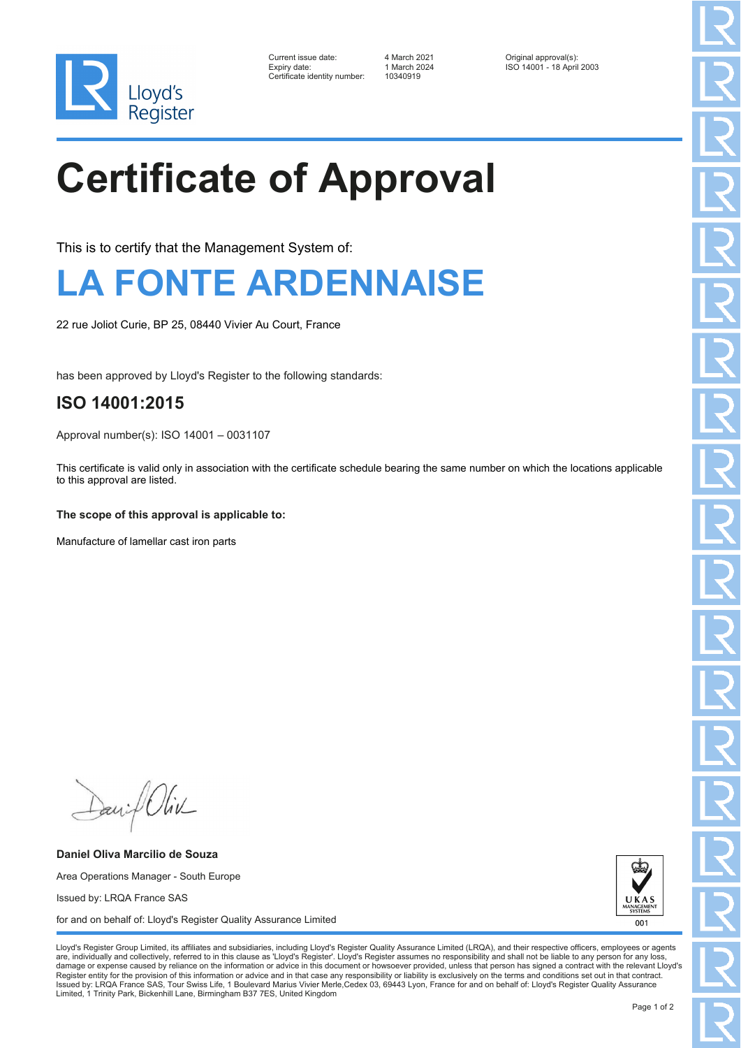

| Current issue date:          | 4 March 2021 | Original approval(s):     |
|------------------------------|--------------|---------------------------|
| Expiry date:                 | 1 March 2024 | ISO 14001 - 18 April 2003 |
| Certificate identity number: | 10340919     |                           |

10340919

# **Certificate of Approval**

This is to certify that the Management System of:

### **LA FONTE ARDENNAISE**

22 rue Joliot Curie, BP 25, 08440 Vivier Au Court, France

has been approved by Lloyd's Register to the following standards:

### **ISO 14001:2015**

Approval number(s): ISO 14001 – 0031107

This certificate is valid only in association with the certificate schedule bearing the same number on which the locations applicable to this approval are listed.

#### **The scope of this approval is applicable to:**

Manufacture of lamellar cast iron parts

Daniel Oliv

**Daniel Oliva Marcilio de Souza** Area Operations Manager - South Europe Issued by: LRQA France SAS for and on behalf of: Lloyd's Register Quality Assurance Limited



Lloyd's Register Group Limited, its affiliates and subsidiaries, including Lloyd's Register Quality Assurance Limited (LRQA), and their respective officers, employees or agents are, individually and collectively, referred to in this clause as 'Lloyd's Register'. Lloyd's Register assumes no responsibility and shall not be liable to any person for any los damage or expense caused by reliance on the information or advice in this document or howsoever provided, unless that person has signed a contract with the relevant Lloyd's<br>Register entity for the provision of this informa Issued by: LRQA France SAS, Tour Swiss Life, 1 Boulevard Marius Vivier Merle,Cedex 03, 69443 Lyon, France for and on behalf of: Lloyd's Register Quality Assurance Limited, 1 Trinity Park, Bickenhill Lane, Birmingham B37 7ES, United Kingdom